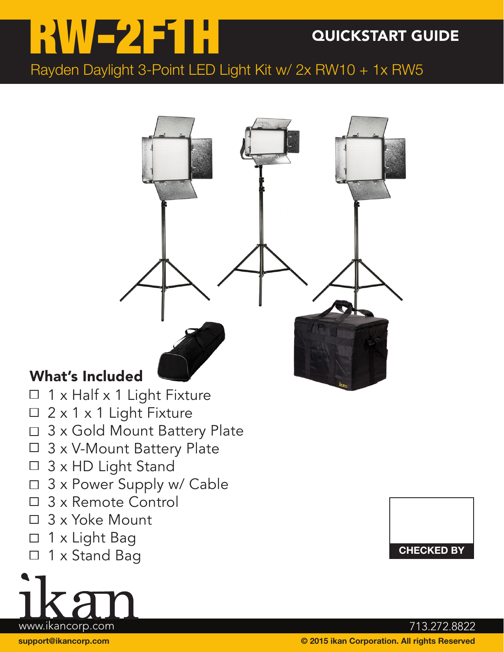# RW-2F1H QUICKSTART GUIDE

Rayden Daylight 3-Point LED Light Kit w/ 2x RW10 + 1x RW5



## What's Included

- 1 x Half x 1 Light Fixture  $\Box$
- $\Box$  2 x 1 x 1 Light Fixture
- □ 3 x Gold Mount Battery Plate
- □ 3 x V-Mount Battery Plate
- □ 3 x HD Light Stand
- □ 3 x Power Supply w/ Cable
- □ 3 x Remote Control
- □ 3 x Yoke Mount
- □ 1 x Light Bag
- 1 x Stand Bag $\Box$



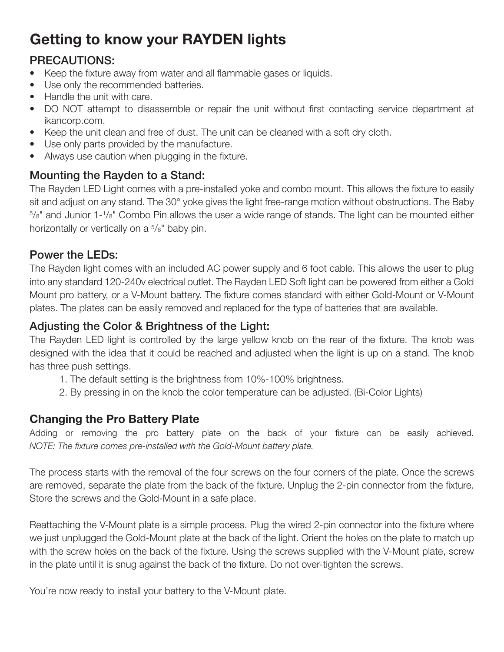# Getting to know your RAYDEN lights

### PRECAUTIONS:

- Keep the fixture away from water and all flammable gases or liquids.
- Use only the recommended batteries.
- Handle the unit with care.
- DO NOT attempt to disassemble or repair the unit without first contacting service department at ikancorp.com.
- Keep the unit clean and free of dust. The unit can be cleaned with a soft dry cloth.
- Use only parts provided by the manufacture.
- Always use caution when plugging in the fixture.

### Mounting the Rayden to a Stand:

The Rayden LED Light comes with a pre-installed yoke and combo mount. This allows the fixture to easily sit and adjust on any stand. The 30° yoke gives the light free-range motion without obstructions. The Baby 5 /8" and Junior 1-1 /8" Combo Pin allows the user a wide range of stands. The light can be mounted either horizontally or vertically on a 5/8" baby pin.

#### Power the LEDs:

The Rayden light comes with an included AC power supply and 6 foot cable. This allows the user to plug into any standard 120-240v electrical outlet. The Rayden LED Soft light can be powered from either a Gold Mount pro battery, or a V-Mount battery. The fixture comes standard with either Gold-Mount or V-Mount plates. The plates can be easily removed and replaced for the type of batteries that are available.

#### Adjusting the Color & Brightness of the Light:

The Rayden LED light is controlled by the large yellow knob on the rear of the fixture. The knob was designed with the idea that it could be reached and adjusted when the light is up on a stand. The knob has three push settings.

- 1. The default setting is the brightness from 10%-100% brightness.
- 2. By pressing in on the knob the color temperature can be adjusted. (Bi-Color Lights)

#### Changing the Pro Battery Plate

Adding or removing the pro battery plate on the back of your fixture can be easily achieved. *NOTE: The fixture comes pre-installed with the Gold-Mount battery plate.*

The process starts with the removal of the four screws on the four corners of the plate. Once the screws are removed, separate the plate from the back of the fixture. Unplug the 2-pin connector from the fixture. Store the screws and the Gold-Mount in a safe place.

Reattaching the V-Mount plate is a simple process. Plug the wired 2-pin connector into the fixture where we just unplugged the Gold-Mount plate at the back of the light. Orient the holes on the plate to match up with the screw holes on the back of the fixture. Using the screws supplied with the V-Mount plate, screw in the plate until it is snug against the back of the fixture. Do not over-tighten the screws.

You're now ready to install your battery to the V-Mount plate.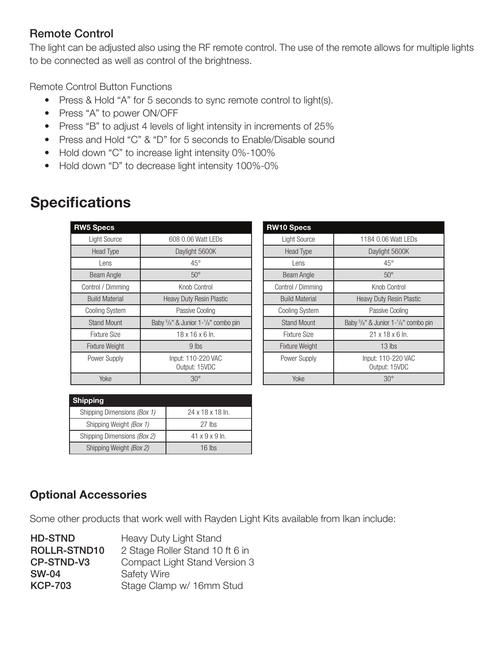#### Remote Control

The light can be adjusted also using the RF remote control. The use of the remote allows for multiple lights to be connected as well as control of the brightness.

Remote Control Button Functions

- Press & Hold "A" for 5 seconds to sync remote control to light(s).
- Press "A" to power ON/OFF
- Press "B" to adjust 4 levels of light intensity in increments of 25%
- Press and Hold "C" & "D" for 5 seconds to Enable/Disable sound
- Hold down "C" to increase light intensity 0%-100%
- Hold down "D" to decrease light intensity 100%-0%

| <b>RW5 Specs</b>      |                                     |
|-----------------------|-------------------------------------|
| Light Source          | 608 0.06 Watt LEDs                  |
| <b>Head Type</b>      | Daylight 5600K                      |
| Lens                  | $45^{\circ}$                        |
| <b>Beam Angle</b>     | $50^\circ$                          |
| Control / Dimming     | Knob Control                        |
| <b>Build Material</b> | <b>Heavy Duty Resin Plastic</b>     |
| <b>Cooling System</b> | Passive Cooling                     |
| <b>Stand Mount</b>    | Baby 5/8" & Junior 1-1/8" combo pin |
| <b>Fixture Size</b>   | $18 \times 16 \times 6$ ln.         |
| Fixture Weight        | 9 lbs                               |
| Power Supply          | Input: 110-220 VAC<br>Output: 15VDC |
| Yoke                  | $30^\circ$                          |

| <b>Specifications</b> |
|-----------------------|
|-----------------------|

| <b>RW10 Specs</b>     |                                                                                        |
|-----------------------|----------------------------------------------------------------------------------------|
| <b>Light Source</b>   | 1184 0.06 Watt LEDs                                                                    |
| <b>Head Type</b>      | Daylight 5600K                                                                         |
| Lens                  | $45^{\circ}$                                                                           |
| Beam Angle            | $50^\circ$                                                                             |
| Control / Dimming     | Knob Control                                                                           |
| <b>Build Material</b> | Heavy Duty Resin Plastic                                                               |
| <b>Cooling System</b> | Passive Cooling                                                                        |
| <b>Stand Mount</b>    | Baby <sup>5</sup> / <sub>8</sub> " & Junior 1- <sup>1</sup> / <sub>8</sub> " combo pin |
| Fixture Size          | $21 \times 18 \times 6$ ln.                                                            |
| <b>Fixture Weight</b> | $13$ lbs                                                                               |
| Power Supply          | Input: 110-220 VAC<br>Output: 15VDC                                                    |
| Yoke                  | $30^\circ$                                                                             |

#### Shipping

| <b>PHILAMILE</b>            |                            |
|-----------------------------|----------------------------|
| Shipping Dimensions (Box 1) | 24 x 18 x 18 ln.           |
| Shipping Weight (Box 1)     | 27 lbs                     |
| Shipping Dimensions (Box 2) | $41 \times 9 \times 9$ ln. |
| Shipping Weight (Box 2)     | $16$ lbs                   |

#### Optional Accessories

Some other products that work well with Rayden Light Kits available from Ikan include:

| <b>HD-STND</b>      | Heavy Duty Light Stand          |
|---------------------|---------------------------------|
| <b>ROLLR-STND10</b> | 2 Stage Roller Stand 10 ft 6 in |
| CP-STND-V3          | Compact Light Stand Version 3   |
| <b>SW-04</b>        | <b>Safety Wire</b>              |
| <b>KCP-703</b>      | Stage Clamp w/ 16mm Stud        |